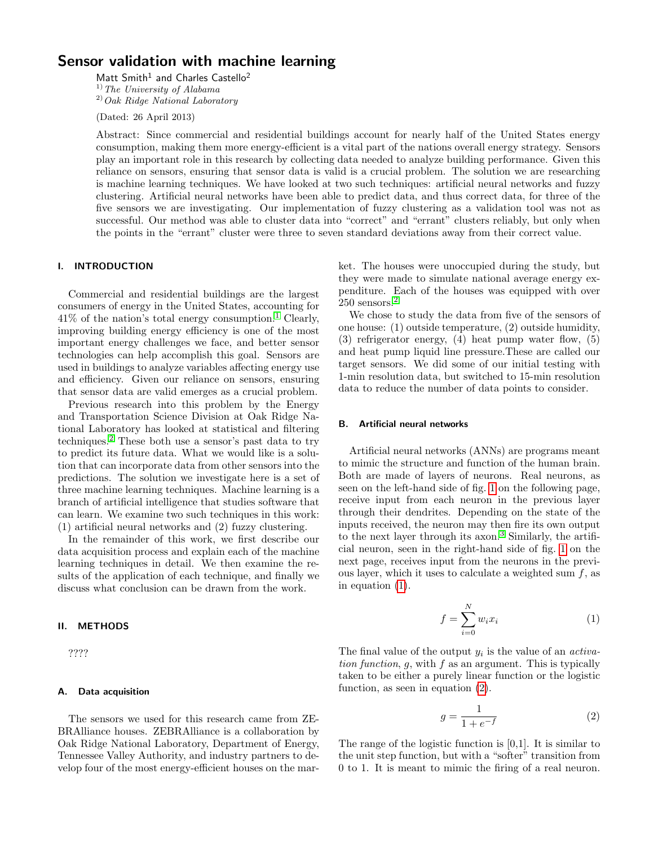# Sensor validation with machine learning

Matt Smith<sup>1</sup> and Charles Castello<sup>2</sup>  $^{1)}$  The University of Alabama  $^{2)}$ Oak Ridge National Laboratory

(Dated: 26 April 2013)

Abstract: Since commercial and residential buildings account for nearly half of the United States energy consumption, making them more energy-efficient is a vital part of the nations overall energy strategy. Sensors play an important role in this research by collecting data needed to analyze building performance. Given this reliance on sensors, ensuring that sensor data is valid is a crucial problem. The solution we are researching is machine learning techniques. We have looked at two such techniques: artificial neural networks and fuzzy clustering. Artificial neural networks have been able to predict data, and thus correct data, for three of the five sensors we are investigating. Our implementation of fuzzy clustering as a validation tool was not as successful. Our method was able to cluster data into "correct" and "errant" clusters reliably, but only when the points in the "errant" cluster were three to seven standard deviations away from their correct value.

# I. INTRODUCTION

Commercial and residential buildings are the largest consumers of energy in the United States, accounting for  $41\%$  $41\%$  $41\%$  of the nation's total energy consumption.<sup>1</sup> Clearly, improving building energy efficiency is one of the most important energy challenges we face, and better sensor technologies can help accomplish this goal. Sensors are used in buildings to analyze variables affecting energy use and efficiency. Given our reliance on sensors, ensuring that sensor data are valid emerges as a crucial problem.

Previous research into this problem by the Energy and Transportation Science Division at Oak Ridge National Laboratory has looked at statistical and filtering techniques.[2](#page-3-1) These both use a sensor's past data to try to predict its future data. What we would like is a solution that can incorporate data from other sensors into the predictions. The solution we investigate here is a set of three machine learning techniques. Machine learning is a branch of artificial intelligence that studies software that can learn. We examine two such techniques in this work: (1) artificial neural networks and (2) fuzzy clustering.

In the remainder of this work, we first describe our data acquisition process and explain each of the machine learning techniques in detail. We then examine the results of the application of each technique, and finally we discuss what conclusion can be drawn from the work.

### II. METHODS

????

## A. Data acquisition

The sensors we used for this research came from ZE-BRAlliance houses. ZEBRAlliance is a collaboration by Oak Ridge National Laboratory, Department of Energy, Tennessee Valley Authority, and industry partners to develop four of the most energy-efficient houses on the market. The houses were unoccupied during the study, but they were made to simulate national average energy expenditure. Each of the houses was equipped with over 250 sensors.[2](#page-3-1)

We chose to study the data from five of the sensors of one house: (1) outside temperature, (2) outside humidity, (3) refrigerator energy, (4) heat pump water flow, (5) and heat pump liquid line pressure.These are called our target sensors. We did some of our initial testing with 1-min resolution data, but switched to 15-min resolution data to reduce the number of data points to consider.

#### B. Artificial neural networks

Artificial neural networks (ANNs) are programs meant to mimic the structure and function of the human brain. Both are made of layers of neurons. Real neurons, as seen on the left-hand side of fig. [1](#page-1-0) on the following page, receive input from each neuron in the previous layer through their dendrites. Depending on the state of the inputs received, the neuron may then fire its own output to the next layer through its axon.<sup>[3](#page-3-2)</sup> Similarly, the artificial neuron, seen in the right-hand side of fig. [1](#page-1-0) on the next page, receives input from the neurons in the previous layer, which it uses to calculate a weighted sum  $f$ , as in equation [\(1\)](#page-0-0).

<span id="page-0-0"></span>
$$
f = \sum_{i=0}^{N} w_i x_i \tag{1}
$$

The final value of the output  $y_i$  is the value of an *activa*tion function,  $g$ , with  $f$  as an argument. This is typically taken to be either a purely linear function or the logistic function, as seen in equation [\(2\)](#page-0-1).

<span id="page-0-1"></span>
$$
g = \frac{1}{1 + e^{-f}}\tag{2}
$$

The range of the logistic function is [0,1]. It is similar to the unit step function, but with a "softer" transition from 0 to 1. It is meant to mimic the firing of a real neuron.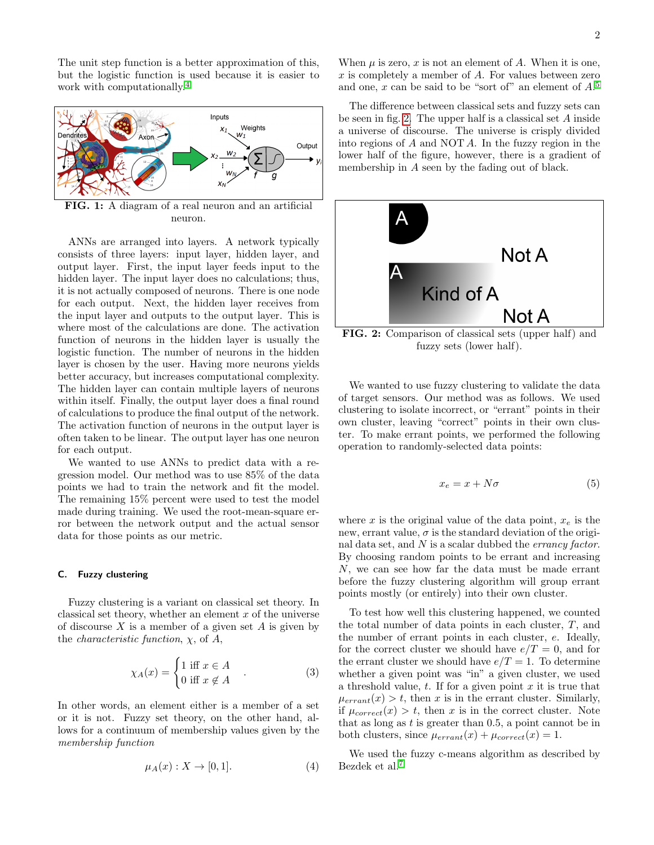The unit step function is a better approximation of this, but the logistic function is used because it is easier to work with computationally.<sup>[4](#page-3-3)</sup>



<span id="page-1-0"></span>FIG. 1: A diagram of a real neuron and an artificial neuron.

ANNs are arranged into layers. A network typically consists of three layers: input layer, hidden layer, and output layer. First, the input layer feeds input to the hidden layer. The input layer does no calculations; thus, it is not actually composed of neurons. There is one node for each output. Next, the hidden layer receives from the input layer and outputs to the output layer. This is where most of the calculations are done. The activation function of neurons in the hidden layer is usually the logistic function. The number of neurons in the hidden layer is chosen by the user. Having more neurons yields better accuracy, but increases computational complexity. The hidden layer can contain multiple layers of neurons within itself. Finally, the output layer does a final round of calculations to produce the final output of the network. The activation function of neurons in the output layer is often taken to be linear. The output layer has one neuron for each output.

We wanted to use ANNs to predict data with a regression model. Our method was to use 85% of the data points we had to train the network and fit the model. The remaining 15% percent were used to test the model made during training. We used the root-mean-square error between the network output and the actual sensor data for those points as our metric.

### C. Fuzzy clustering

Fuzzy clustering is a variant on classical set theory. In classical set theory, whether an element  $x$  of the universe of discourse  $X$  is a member of a given set  $A$  is given by the *characteristic function*,  $\chi$ , of  $A$ ,

$$
\chi_A(x) = \begin{cases} 1 \text{ iff } x \in A \\ 0 \text{ iff } x \notin A \end{cases} . \tag{3}
$$

In other words, an element either is a member of a set or it is not. Fuzzy set theory, on the other hand, allows for a continuum of membership values given by the membership function

$$
\mu_A(x) : X \to [0, 1]. \tag{4}
$$

When  $\mu$  is zero, x is not an element of A. When it is one,  $x$  is completely a member of  $A$ . For values between zero and one, x can be said to be "sort of" an element of  $A$ <sup>[5](#page-3-4)</sup>

The difference between classical sets and fuzzy sets can be seen in fig. [2.](#page-1-1) The upper half is a classical set A inside a universe of discourse. The universe is crisply divided into regions of A and NOT A. In the fuzzy region in the lower half of the figure, however, there is a gradient of membership in A seen by the fading out of black.



<span id="page-1-1"></span>FIG. 2: Comparison of classical sets (upper half) and fuzzy sets (lower half).

We wanted to use fuzzy clustering to validate the data of target sensors. Our method was as follows. We used clustering to isolate incorrect, or "errant" points in their own cluster, leaving "correct" points in their own cluster. To make errant points, we performed the following operation to randomly-selected data points:

$$
x_e = x + N\sigma \tag{5}
$$

where x is the original value of the data point,  $x_e$  is the new, errant value,  $\sigma$  is the standard deviation of the original data set, and  $N$  is a scalar dubbed the *errancy factor*. By choosing random points to be errant and increasing N, we can see how far the data must be made errant before the fuzzy clustering algorithm will group errant points mostly (or entirely) into their own cluster.

To test how well this clustering happened, we counted the total number of data points in each cluster, T, and the number of errant points in each cluster, e. Ideally, for the correct cluster we should have  $e/T = 0$ , and for the errant cluster we should have  $e/T = 1$ . To determine whether a given point was "in" a given cluster, we used a threshold value,  $t$ . If for a given point  $x$  it is true that  $\mu_{errant}(x) > t$ , then x is in the errant cluster. Similarly, if  $\mu_{correct}(x) > t$ , then x is in the correct cluster. Note that as long as  $t$  is greater than 0.5, a point cannot be in both clusters, since  $\mu_{errant}(x) + \mu_{correct}(x) = 1$ .

We used the fuzzy c-means algorithm as described by Bezdek et al.[7](#page-3-5)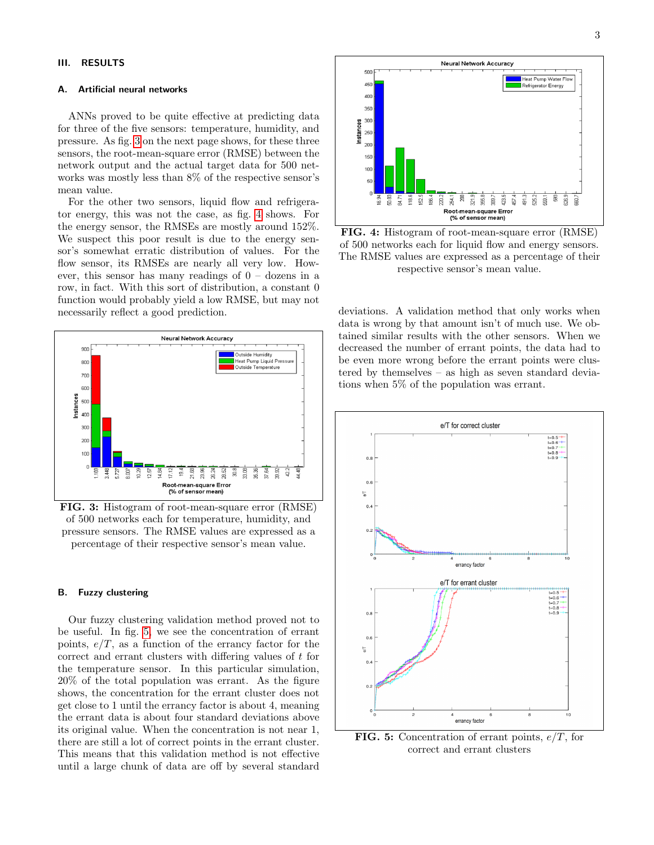## III. RESULTS

### A. Artificial neural networks

ANNs proved to be quite effective at predicting data for three of the five sensors: temperature, humidity, and pressure. As fig. [3](#page-2-0) on the next page shows, for these three sensors, the root-mean-square error (RMSE) between the network output and the actual target data for 500 networks was mostly less than 8% of the respective sensor's mean value.

For the other two sensors, liquid flow and refrigerator energy, this was not the case, as fig. [4](#page-2-1) shows. For the energy sensor, the RMSEs are mostly around 152%. We suspect this poor result is due to the energy sensor's somewhat erratic distribution of values. For the flow sensor, its RMSEs are nearly all very low. However, this sensor has many readings of  $0 -$  dozens in a row, in fact. With this sort of distribution, a constant 0 function would probably yield a low RMSE, but may not necessarily reflect a good prediction.



<span id="page-2-0"></span>FIG. 3: Histogram of root-mean-square error (RMSE) of 500 networks each for temperature, humidity, and pressure sensors. The RMSE values are expressed as a percentage of their respective sensor's mean value.

## B. Fuzzy clustering

Our fuzzy clustering validation method proved not to be useful. In fig. [5,](#page-2-2) we see the concentration of errant points,  $e/T$ , as a function of the errancy factor for the correct and errant clusters with differing values of t for the temperature sensor. In this particular simulation, 20% of the total population was errant. As the figure shows, the concentration for the errant cluster does not get close to 1 until the errancy factor is about 4, meaning the errant data is about four standard deviations above its original value. When the concentration is not near 1, there are still a lot of correct points in the errant cluster. This means that this validation method is not effective until a large chunk of data are off by several standard



<span id="page-2-1"></span>FIG. 4: Histogram of root-mean-square error (RMSE) of 500 networks each for liquid flow and energy sensors. The RMSE values are expressed as a percentage of their respective sensor's mean value.

deviations. A validation method that only works when data is wrong by that amount isn't of much use. We obtained similar results with the other sensors. When we decreased the number of errant points, the data had to be even more wrong before the errant points were clustered by themselves – as high as seven standard deviations when 5% of the population was errant.



<span id="page-2-2"></span>**FIG. 5:** Concentration of errant points,  $e/T$ , for correct and errant clusters